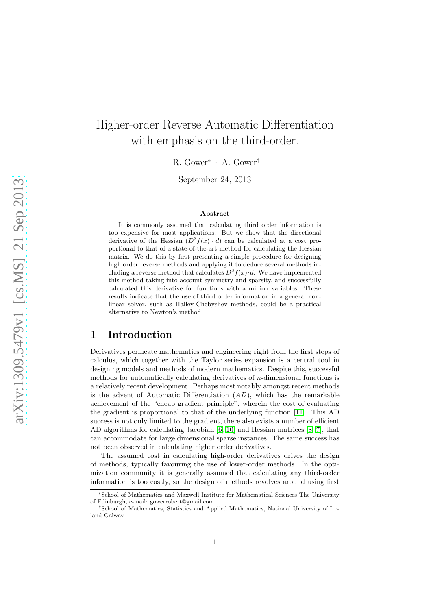# Higher-order Reverse Automatic Differentiation with emphasis on the third-order.

R. Gower<sup>∗</sup> · A. Gower†

September 24, 2013

#### Abstract

It is commonly assumed that calculating third order information is too expensive for most applications. But we show that the directional derivative of the Hessian  $(D^3 f(x) \cdot d)$  can be calculated at a cost proportional to that of a state-of-the-art method for calculating the Hessian matrix. We do this by first presenting a simple procedure for designing high order reverse methods and applying it to deduce several methods including a reverse method that calculates  $D^3 f(x) \cdot d$ . We have implemented this method taking into account symmetry and sparsity, and successfully calculated this derivative for functions with a million variables. These results indicate that the use of third order information in a general nonlinear solver, such as Halley-Chebyshev methods, could be a practical alternative to Newton's method.

### 1 Introduction

Derivatives permeate mathematics and engineering right from the first steps of calculus, which together with the Taylor series expansion is a central tool in designing models and methods of modern mathematics. Despite this, successful methods for automatically calculating derivatives of n-dimensional functions is a relatively recent development. Perhaps most notably amongst recent methods is the advent of Automatic Differentiation  $(AD)$ , which has the remarkable achievement of the "cheap gradient principle", wherein the cost of evaluating the gradient is proportional to that of the underlying function [\[11\]](#page-20-0). This AD success is not only limited to the gradient, there also exists a number of efficient AD algorithms for calculating Jacobian [\[6,](#page-19-0) [10\]](#page-20-1) and Hessian matrices [\[8,](#page-20-2) [7\]](#page-20-3), that can accommodate for large dimensional sparse instances. The same success has not been observed in calculating higher order derivatives.

The assumed cost in calculating high-order derivatives drives the design of methods, typically favouring the use of lower-order methods. In the optimization community it is generally assumed that calculating any third-order information is too costly, so the design of methods revolves around using first

<sup>∗</sup>School of Mathematics and Maxwell Institute for Mathematical Sciences The University of Edinburgh, e-mail: gowerrobert@gmail.com

<sup>†</sup>School of Mathematics, Statistics and Applied Mathematics, National University of Ireland Galway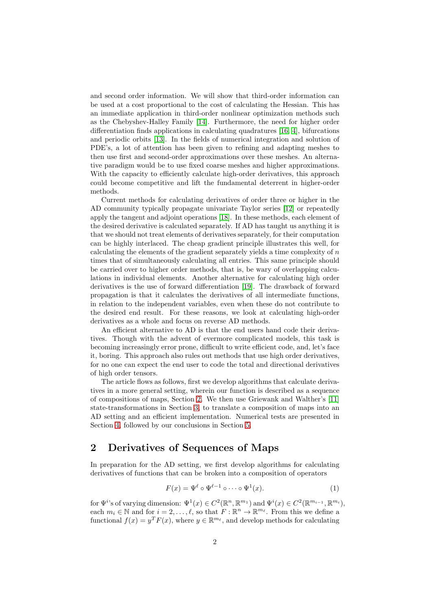and second order information. We will show that third-order information can be used at a cost proportional to the cost of calculating the Hessian. This has an immediate application in third-order nonlinear optimization methods such as the Chebyshev-Halley Family [\[14\]](#page-20-4). Furthermore, the need for higher order differentiation finds applications in calculating quadratures [\[16,](#page-20-5) [4\]](#page-19-1), bifurcations and periodic orbits [\[13\]](#page-20-6). In the fields of numerical integration and solution of PDE's, a lot of attention has been given to refining and adapting meshes to then use first and second-order approximations over these meshes. An alternative paradigm would be to use fixed coarse meshes and higher approximations. With the capacity to efficiently calculate high-order derivatives, this approach could become competitive and lift the fundamental deterrent in higher-order methods.

Current methods for calculating derivatives of order three or higher in the AD community typically propagate univariate Taylor series [\[12\]](#page-20-7) or repeatedly apply the tangent and adjoint operations [\[18\]](#page-20-8). In these methods, each element of the desired derivative is calculated separately. If AD has taught us anything it is that we should not treat elements of derivatives separately, for their computation can be highly interlaced. The cheap gradient principle illustrates this well, for calculating the elements of the gradient separately yields a time complexity of  $n$ times that of simultaneously calculating all entries. This same principle should be carried over to higher order methods, that is, be wary of overlapping calculations in individual elements. Another alternative for calculating high order derivatives is the use of forward differentiation [\[19\]](#page-20-9). The drawback of forward propagation is that it calculates the derivatives of all intermediate functions, in relation to the independent variables, even when these do not contribute to the desired end result. For these reasons, we look at calculating high-order derivatives as a whole and focus on reverse AD methods.

An efficient alternative to AD is that the end users hand code their derivatives. Though with the advent of evermore complicated models, this task is becoming increasingly error prone, difficult to write efficient code, and, let's face it, boring. This approach also rules out methods that use high order derivatives, for no one can expect the end user to code the total and directional derivatives of high order tensors.

The article flows as follows, first we develop algorithms that calculate derivatives in a more general setting, wherein our function is described as a sequence of compositions of maps, Section [2.](#page-1-0) We then use Griewank and Walther's [\[11\]](#page-20-0) state-transformations in Section [3,](#page-8-0) to translate a composition of maps into an AD setting and an efficient implementation. Numerical tests are presented in Section [4,](#page-17-0) followed by our conclusions in Section [5.](#page-18-0)

### <span id="page-1-0"></span>2 Derivatives of Sequences of Maps

In preparation for the AD setting, we first develop algorithms for calculating derivatives of functions that can be broken into a composition of operators

<span id="page-1-1"></span>
$$
F(x) = \Psi^{\ell} \circ \Psi^{\ell-1} \circ \cdots \circ \Psi^1(x). \tag{1}
$$

for  $\Psi^i$ 's of varying dimension:  $\Psi^1(x) \in C^2(\mathbb{R}^n, \mathbb{R}^{m_1})$  and  $\Psi^i(x) \in C^2(\mathbb{R}^{m_{i-1}}, \mathbb{R}^{m_i})$ , each  $m_i \in \mathbb{N}$  and for  $i = 2, \ldots, \ell$ , so that  $F : \mathbb{R}^n \to \mathbb{R}^{m_{\ell}}$ . From this we define a functional  $f(x) = y^T F(x)$ , where  $y \in \mathbb{R}^{m_{\ell}}$ , and develop methods for calculating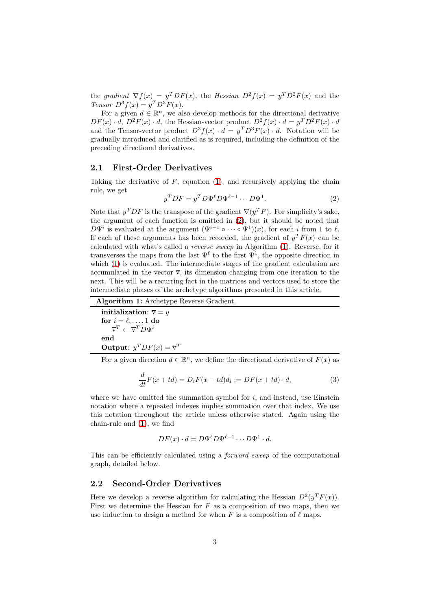the gradient  $\nabla f(x) = y^T D F(x)$ , the Hessian  $D^2 f(x) = y^T D^2 F(x)$  and the Tensor  $D^3 f(x) = y^T D^3 F(x)$ .

For a given  $d \in \mathbb{R}^n$ , we also develop methods for the directional derivative  $DF(x) \cdot d$ ,  $D^2F(x) \cdot d$ , the Hessian-vector product  $D^2f(x) \cdot d = y^T D^2F(x) \cdot d$ and the Tensor-vector product  $D^3 f(x) \cdot d = y^T D^3 F(x) \cdot d$ . Notation will be gradually introduced and clarified as is required, including the definition of the preceding directional derivatives.

#### 2.1 First-Order Derivatives

Taking the derivative of  $F$ , equation [\(1\)](#page-1-1), and recursively applying the chain rule, we get

<span id="page-2-0"></span>
$$
y^T DF = y^T D \Psi^{\ell} D \Psi^{\ell-1} \cdots D \Psi^1.
$$
 (2)

Note that  $y^TDF$  is the transpose of the gradient  $\nabla(y^T F)$ . For simplicity's sake, the argument of each function is omitted in [\(2\)](#page-2-0), but it should be noted that  $D\Psi^i$  is evaluated at the argument  $(\Psi^{i-1} \circ \cdots \circ \Psi^1)(x)$ , for each i from 1 to  $\ell$ . If each of these arguments has been recorded, the gradient of  $y^T F(x)$  can be calculated with what's called a reverse sweep in Algorithm [\(1\)](#page-2-1). Reverse, for it transverses the maps from the last  $\Psi^{\ell}$  to the first  $\Psi^{1}$ , the opposite direction in which [\(1\)](#page-1-1) is evaluated. The intermediate stages of the gradient calculation are accumulated in the vector  $\bar{v}$ , its dimension changing from one iteration to the next. This will be a recurring fact in the matrices and vectors used to store the intermediate phases of the archetype algorithms presented in this article.

<span id="page-2-1"></span>

| <b>Algorithm 1:</b> Archetype Reverse Gradient.                       |
|-----------------------------------------------------------------------|
| initialization: $\overline{v} = y$                                    |
| for $i = \ell, \ldots, 1$ do                                          |
| $\overline{\mathbf{v}}^T \leftarrow \overline{\mathbf{v}}^T D \Psi^i$ |
| end                                                                   |
| <b>Output:</b> $y^T DF(x) = \overline{v}^T$                           |
|                                                                       |

For a given direction  $d \in \mathbb{R}^n$ , we define the directional derivative of  $F(x)$  as

$$
\frac{d}{dt}F(x+td) = D_iF(x+td)d_i := DF(x+td) \cdot d,\tag{3}
$$

where we have omitted the summation symbol for  $i$ , and instead, use Einstein notation where a repeated indexes implies summation over that index. We use this notation throughout the article unless otherwise stated. Again using the chain-rule and [\(1\)](#page-1-1), we find

$$
DF(x) \cdot d = D\Psi^{\ell} D\Psi^{\ell-1} \cdots D\Psi^1 \cdot d.
$$

This can be efficiently calculated using a forward sweep of the computational graph, detailed below.

#### 2.2 Second-Order Derivatives

Here we develop a reverse algorithm for calculating the Hessian  $D^2(y^T F(x))$ . First we determine the Hessian for  $F$  as a composition of two maps, then we use induction to design a method for when F is a composition of  $\ell$  maps.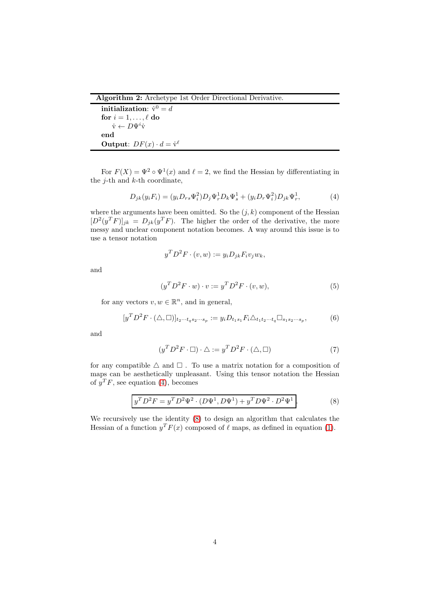Algorithm 2: Archetype 1st Order Directional Derivative.

```
initialization: \dot{v}^0 = dfor i = 1, \ldots, \ell do
      \dot{\mathrm{v}} \leftarrow D\Psi^i \dot{\mathrm{v}}end
Output: DF(x) \cdot d = \dot{v}^{\ell}
```
For  $F(X) = \Psi^2 \circ \Psi^1(x)$  and  $\ell = 2$ , we find the Hessian by differentiating in the  $i$ -th and  $k$ -th coordinate,

<span id="page-3-0"></span>
$$
D_{jk}(y_i F_i) = (y_i D_{rs} \Psi_i^2) D_j \Psi_r^1 D_k \Psi_s^1 + (y_i D_r \Psi_i^2) D_{jk} \Psi_r^1, \tag{4}
$$

where the arguments have been omitted. So the  $(j, k)$  component of the Hessian  $[D^2(y^T F)]_{jk} = D_{jk}(y^T F)$ . The higher the order of the derivative, the more messy and unclear component notation becomes. A way around this issue is to use a tensor notation

$$
y^T D^2 F \cdot (v, w) := y_i D_{jk} F_i v_j w_k,
$$

and

$$
(y^T D^2 F \cdot w) \cdot v := y^T D^2 F \cdot (v, w), \tag{5}
$$

for any vectors  $v, w \in \mathbb{R}^n$ , and in general,

$$
[y^T D^2 F \cdot (\triangle, \square)]_{t_2 \cdots t_q s_2 \cdots s_p} := y_i D_{t_1 s_1} F_i \triangle_{t_1 t_2 \cdots t_q} \square_{s_1 s_2 \cdots s_p},
$$
(6)

and

$$
(y^T D^2 F \cdot \Box) \cdot \Delta := y^T D^2 F \cdot (\Delta, \Box) \tag{7}
$$

for any compatible  $\Delta$  and  $\square$ . To use a matrix notation for a composition of maps can be aesthetically unpleasant. Using this tensor notation the Hessian of  $y^T F$ , see equation [\(4\)](#page-3-0), becomes

<span id="page-3-1"></span>
$$
y^T D^2 F = y^T D^2 \Psi^2 \cdot (D \Psi^1, D \Psi^1) + y^T D \Psi^2 \cdot D^2 \Psi^1.
$$
 (8)

We recursively use the identity [\(8\)](#page-3-1) to design an algorithm that calculates the Hessian of a function  $y^T F(x)$  composed of  $\ell$  maps, as defined in equation [\(1\)](#page-1-1).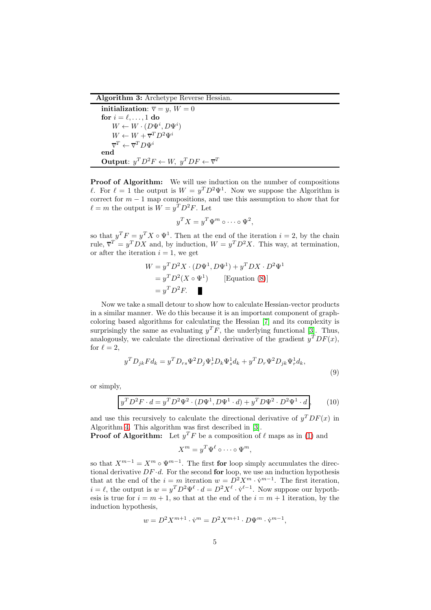Algorithm 3: Archetype Reverse Hessian.

```
initialization: \overline{v} = y, W = 0for i = \ell, \ldots, 1 do
       W \leftarrow W \cdot (D \Psi^i, D \Psi^i)W \leftarrow W + \overline{\mathbf{v}}^T D^2 \Psi^i\overline{\mathbf{v}}^T \leftarrow \overline{\mathbf{v}}^T D \Psi^iend
Output: y^T D^2 F \leftarrow W, y^T DF \leftarrow \overline{v}^T
```
Proof of Algorithm: We will use induction on the number of compositions l. For  $\ell = 1$  the output is  $W = y^T D^2 \Psi^1$ . Now we suppose the Algorithm is correct for  $m-1$  map compositions, and use this assumption to show that for  $\ell = m$  the output is  $W = y^T D^2 F$ . Let

$$
y^T X = y^T \Psi^m \circ \cdots \circ \Psi^2,
$$

so that  $y^T F = y^T X \circ \Psi^1$ . Then at the end of the iteration  $i = 2$ , by the chain rule,  $\overline{v}^T = y^TDX$  and, by induction,  $W = y^T D^2X$ . This way, at termination, or after the iteration  $i = 1$ , we get

$$
W = y^T D^2 X \cdot (D\Psi^1, D\Psi^1) + y^T D X \cdot D^2 \Psi^1
$$
  
=  $y^T D^2 (X \circ \Psi^1)$  [Equation (8)]  
=  $y^T D^2 F$ .

Now we take a small detour to show how to calculate Hessian-vector products in a similar manner. We do this because it is an important component of graphcoloring based algorithms for calculating the Hessian [\[7\]](#page-20-3) and its complexity is surprisingly the same as evaluating  $y^T F$ , the underlying functional [\[3\]](#page-19-2). Thus, analogously, we calculate the directional derivative of the gradient  $y^TDF(x)$ , for  $\ell = 2$ ,

$$
y^T D_{jk} F d_k = y^T D_{rs} \Psi^2 D_j \Psi_r^1 D_k \Psi_s^1 d_k + y^T D_r \Psi^2 D_{jk} \Psi_r^1 d_k,
$$
\n
$$
(9)
$$

or simply,

$$
y^T D^2 F \cdot d = y^T D^2 \Psi^2 \cdot (D \Psi^1, D \Psi^1 \cdot d) + y^T D \Psi^2 \cdot D^2 \Psi^1 \cdot d,
$$
 (10)

and use this recursively to calculate the directional derivative of  $y^TDF(x)$  in Algorithm [4.](#page-5-0) This algorithm was first described in [\[3\]](#page-19-2).

**Proof of Algorithm:** Let  $y^T F$  be a composition of  $\ell$  maps as in [\(1\)](#page-1-1) and

<span id="page-4-0"></span>
$$
X^m = y^T \Psi^\ell \circ \cdots \circ \Psi^m,
$$

so that  $X^{m-1} = X^m \circ \Psi^{m-1}$ . The first for loop simply accumulates the directional derivative  $DF \cdot d$ . For the second for loop, we use an induction hypothesis that at the end of the  $i = m$  iteration  $w = D^2 X^m \cdot \dot{v}^{m-1}$ . The first iteration,  $i = \ell$ , the output is  $w = y^T D^2 \Psi^{\ell} \cdot d = D^2 X^{\ell} \cdot \dot{v}^{\ell-1}$ . Now suppose our hypothesis is true for  $i = m + 1$ , so that at the end of the  $i = m + 1$  iteration, by the induction hypothesis,

$$
w = D^2 X^{m+1} \cdot \dot{\mathbf{v}}^m = D^2 X^{m+1} \cdot D \Psi^m \cdot \dot{\mathbf{v}}^{m-1},
$$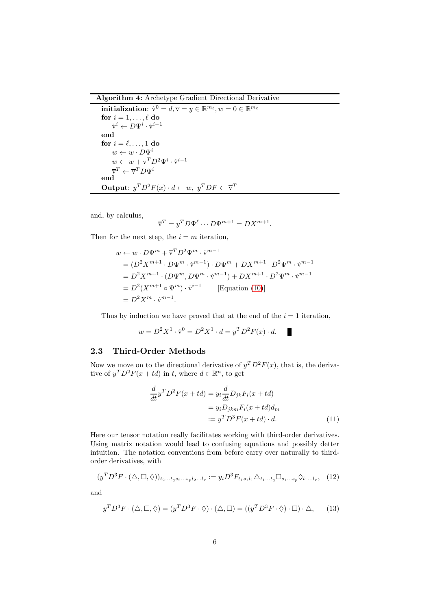### <span id="page-5-0"></span>Algorithm 4: Archetype Gradient Directional Derivative

```
{\bf initialization:}\,\,\dot{\rm v}^0=d,\overline{\rm v}=y\in\mathbb{R}^{m_\ell}, w=0\in\mathbb{R}^{m_\ell}for i=1,\ldots,\ell do
        \dot{\mathrm{v}}^i \leftarrow D \Psi^i \cdot \dot{\mathrm{v}}^{i-1}end
for i = \ell, \ldots, 1 do
       w \leftarrow w \cdot D\Psi^iw \leftarrow w + \overline{v}^T D^2 \Psi^i \cdot \dot{v}^{i-1}\overline{\mathrm{v}}^T\leftarrow\overline{\mathrm{v}}^T D \Psi^iend
Output: y^T D^2 F(x) \cdot d \leftarrow w, y^T DF \leftarrow \overline{v}^T
```
and, by calculus,

$$
\overline{\mathbf{v}}^T = y^T D \Psi^{\ell} \cdots D \Psi^{m+1} = DX^{m+1}.
$$

Then for the next step, the  $i = m$  iteration,

$$
w \leftarrow w \cdot D\Psi^m + \overline{v}^T D^2 \Psi^m \cdot \dot{v}^{m-1}
$$
  
=  $(D^2 X^{m+1} \cdot D\Psi^m \cdot \dot{v}^{m-1}) \cdot D\Psi^m + DX^{m+1} \cdot D^2 \Psi^m \cdot \dot{v}^{m-1}$   
=  $D^2 X^{m+1} \cdot (D\Psi^m, D\Psi^m \cdot \dot{v}^{m-1}) + DX^{m+1} \cdot D^2 \Psi^m \cdot \dot{v}^{m-1}$   
=  $D^2 (X^{m+1} \circ \Psi^m) \cdot \dot{v}^{i-1}$  [Equation (10)]  
=  $D^2 X^m \cdot \dot{v}^{m-1}$ .

Thus by induction we have proved that at the end of the  $i = 1$  iteration,

$$
w = D^2 X^1 \cdot \dot{v}^0 = D^2 X^1 \cdot d = y^T D^2 F(x) \cdot d.
$$

#### 2.3 Third-Order Methods

Now we move on to the directional derivative of  $y^T D^2 F(x)$ , that is, the derivative of  $y^T D^2 F(x + td)$  in t, where  $d \in \mathbb{R}^n$ , to get

$$
\frac{d}{dt}y^T D^2 F(x+td) = y_i \frac{d}{dt} D_{jk} F_i(x+td)
$$

$$
= y_i D_{jkm} F_i(x+td) d_m
$$

$$
:= y^T D^3 F(x+td) \cdot d.
$$
 (11)

Here our tensor notation really facilitates working with third-order derivatives. Using matrix notation would lead to confusing equations and possibly detter intuition. The notation conventions from before carry over naturally to thirdorder derivatives, with

$$
(y^T D^3 F \cdot (\triangle, \square, \lozenge))_{t_2...t_q s_2...s_p l_2...l_r} := y_i D^3 F_{t_1 s_1 l_1} \triangle_{t_1...t_q} \square_{s_1...s_p} \lozenge_{l_1...l_r}, \quad (12)
$$

and

<span id="page-5-1"></span>
$$
y^T D^3 F \cdot (\triangle, \square, \Diamond) = (y^T D^3 F \cdot \Diamond) \cdot (\triangle, \square) = ((y^T D^3 F \cdot \Diamond) \cdot \square) \cdot \triangle, \quad (13)
$$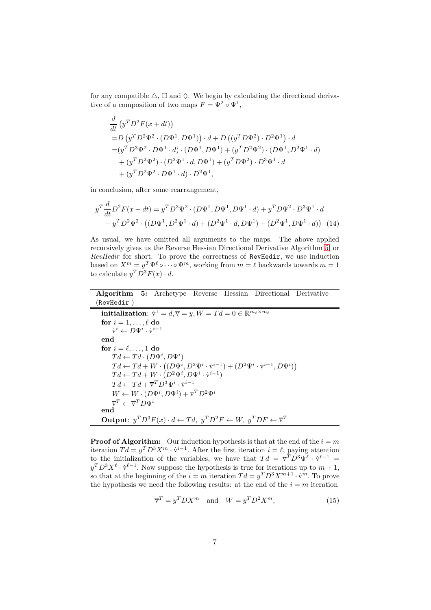for any compatible  $\triangle$ ,  $\square$  and  $\lozenge$ . We begin by calculating the directional derivative of a composition of two maps  $F = \Psi^2 \circ \Psi^1$ ,

$$
\frac{d}{dt} (y^T D^2 F(x + dt))
$$
\n= D (y<sup>T</sup> D<sup>2</sup> \Psi<sup>2</sup> \cdot (D\Psi<sup>1</sup>, D\Psi<sup>1</sup>)) \cdot d + D ((y<sup>T</sup> D\Psi<sup>2</sup>) \cdot D<sup>2</sup>\Psi<sup>1</sup>) \cdot d  
\n= (y<sup>T</sup> D<sup>3</sup>\Psi<sup>2</sup> \cdot D\Psi<sup>1</sup> \cdot d) \cdot (D\Psi<sup>1</sup>, D\Psi<sup>1</sup>) + (y<sup>T</sup> D<sup>2</sup>\Psi<sup>2</sup>) \cdot (D\Psi<sup>1</sup>, D<sup>2</sup>\Psi<sup>1</sup> \cdot d)  
\n+ (y<sup>T</sup> D<sup>2</sup>\Psi<sup>2</sup>) \cdot (D<sup>2</sup>\Psi<sup>1</sup> \cdot d, D\Psi<sup>1</sup>) + (y<sup>T</sup> D\Psi<sup>2</sup>) \cdot D<sup>3</sup>\Psi<sup>1</sup> \cdot d  
\n+ (y<sup>T</sup> D<sup>2</sup>\Psi<sup>2</sup> \cdot D\Psi<sup>1</sup> \cdot d) \cdot D<sup>2</sup>\Psi<sup>1</sup>,

in conclusion, after some rearrangement,

<span id="page-6-2"></span>
$$
y^{T} \frac{d}{dt} D^{2} F(x+dt) = y^{T} D^{3} \Psi^{2} \cdot (D \Psi^{1}, D \Psi^{1}, D \Psi^{1} \cdot d) + y^{T} D \Psi^{2} \cdot D^{3} \Psi^{1} \cdot d + y^{T} D^{2} \Psi^{2} \cdot ((D \Psi^{1}, D^{2} \Psi^{1} \cdot d) + (D^{2} \Psi^{1} \cdot d, D \Psi^{1}) + (D^{2} \Psi^{1}, D \Psi^{1} \cdot d))
$$
(14)

As usual, we have omitted all arguments to the maps. The above applied recursively gives us the Reverse Hessian Directional Derivative Algorithm [5,](#page-6-0) or RevHedir for short. To prove the correctness of RevHedir, we use induction based on  $X^m = y^T \Psi^\ell \circ \cdots \circ \Psi^m$ , working from  $m = \ell$  backwards towards  $m = 1$ to calculate  $y^T D^3 F(x) \cdot d$ .

Algorithm 5: Archetype Reverse Hessian Directional Derivative (RevHedir )

<span id="page-6-0"></span>initialization:  $\dot{v}^1 = d$ ,  $\overline{v} = y$ ,  $W = Td = 0 \in \mathbb{R}^{m_\ell \times m_\ell}$ for  $i = 1, \ldots, \ell$  do  $\dot{\mathrm{v}}^i \leftarrow D \Psi^i \cdot \dot{\mathrm{v}}^{i-1}$ end for  $i = \ell, \ldots, 1$  do  $Td \leftarrow Td \cdot (D\Psi^i, D\Psi^i)$  $Td \leftarrow Td + W \cdot ((D\Psi^i, D^2\Psi^i \cdot \dot{\mathbf{v}}^{i-1}) + (D^2\Psi^i \cdot \dot{\mathbf{v}}^{i-1}, D\Psi^i))$  $Td \leftarrow Td + W \cdot (D^2 \Psi^i, D \Psi^i \cdot \dot{\mathbf{v}}^{i-1})$  $Td \leftarrow Td + \overline{\mathbf{v}}^T D^3 \Psi^i \cdot \dot{\mathbf{v}}^{i-1}$  $W \leftarrow W \cdot (D\Psi^i, D\Psi^i) + \overline{\mathbf{v}}^T D^2 \Psi^i$  $\overline{\mathbf{v}}^T \leftarrow \overline{\mathbf{v}}^T D \Psi^i$ end **Output:**  $y^T D^3 F(x) \cdot d \leftarrow T d$ ,  $y^T D^2 F \leftarrow W$ ,  $y^T DF \leftarrow \overline{v}^T$ 

**Proof of Algorithm:** Our induction hypothesis is that at the end of the  $i = m$ iteration  $Td = y^T D^3 X^m \cdot \dot{v}^{i-1}$ . After the first iteration  $i = \ell$ , paying attention to the initialization of the variables, we have that  $Td = \overline{v}^T D^3 \Psi^{\ell} \cdot \dot{v}^{\ell-1} =$  $y^T D^3 X^{\ell} \cdot \dot{v}^{\ell-1}$ . Now suppose the hypothesis is true for iterations up to  $m+1$ , so that at the beginning of the  $i = m$  iteration  $Td = y^T D^3 X^{m+1} \cdot \dot{v}^m$ . To prove the hypothesis we need the following results: at the end of the  $i = m$  iteration

<span id="page-6-1"></span>
$$
\overline{\mathbf{v}}^T = y^T D X^m \quad \text{and} \quad W = y^T D^2 X^m,\tag{15}
$$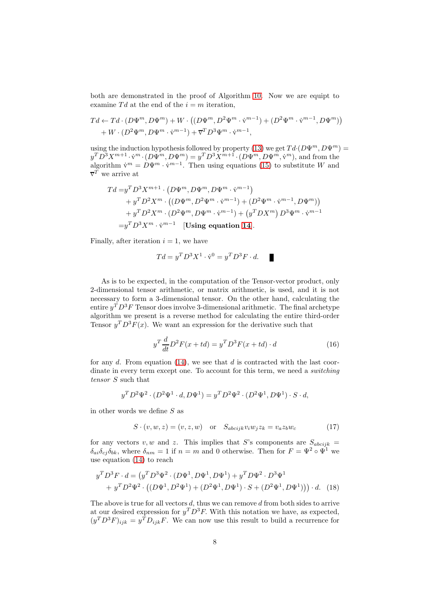both are demonstrated in the proof of Algorithm [10.](#page-4-0) Now we are equipt to examine  $Td$  at the end of the  $i = m$  iteration,

$$
Td \leftarrow Td \cdot (D\Psi^m, D\Psi^m) + W \cdot ((D\Psi^m, D^2\Psi^m \cdot \dot{\mathbf{v}}^{m-1}) + (D^2\Psi^m \cdot \dot{\mathbf{v}}^{m-1}, D\Psi^m)) + W \cdot (D^2\Psi^m, D\Psi^m \cdot \dot{\mathbf{v}}^{m-1}) + \overline{\mathbf{v}}^T D^3\Psi^m \cdot \dot{\mathbf{v}}^{m-1},
$$

using the induction hypothesis followed by property [\(13\)](#page-5-1) we get  $Td \cdot (D\Psi^m, D\Psi^m)$  =  $y^T D^3 X^{m+1} \cdot \dot{v}^m \cdot (D \Psi^m, D \Psi^m) = y^T D^3 X^{m+1} \cdot (D \Psi^m, D \Psi^m, \dot{v}^m)$ , and from the algorithm  $\dot{v}^m = D\Psi^m \cdot \dot{v}^{m-1}$ . Then using equations [\(15\)](#page-6-1) to substitute W and  $\overline{\mathbf{v}}^T$  we arrive at

$$
Td = y^T D^3 X^{m+1} \cdot (D\Psi^m, D\Psi^m, D\Psi^m \cdot \dot{v}^{m-1})
$$
  
+  $y^T D^2 X^m \cdot ((D\Psi^m, D^2 \Psi^m \cdot \dot{v}^{m-1}) + (D^2 \Psi^m \cdot \dot{v}^{m-1}, D\Psi^m))$   
+  $y^T D^2 X^m \cdot (D^2 \Psi^m, D\Psi^m \cdot \dot{v}^{m-1}) + (y^T D X^m) D^3 \Psi^m \cdot \dot{v}^{m-1}$   
=  $y^T D^3 X^m \cdot \dot{v}^{m-1}$  [Using equation 14].

Finally, after iteration  $i = 1$ , we have

$$
Td = y^T D^3 X^1 \cdot \dot{\mathbf{v}}^0 = y^T D^3 F \cdot d. \quad \blacksquare
$$

As is to be expected, in the computation of the Tensor-vector product, only 2-dimensional tensor arithmetic, or matrix arithmetic, is used, and it is not necessary to form a 3-dimensional tensor. On the other hand, calculating the entire  $y^T D^3 F$  Tensor does involve 3-dimensional arithmetic. The final archetype algorithm we present is a reverse method for calculating the entire third-order Tensor  $y^T D^3 F(x)$ . We want an expression for the derivative such that

$$
yT \frac{d}{dt} D2 F(x + td) = yT D3 F(x + td) \cdot d \qquad (16)
$$

for any  $d$ . From equation [\(14\)](#page-6-2), we see that  $d$  is contracted with the last coordinate in every term except one. To account for this term, we need a *switching* tensor S such that

$$
y^T D^2 \Psi^2 \cdot (D^2 \Psi^1 \cdot d, D \Psi^1) = y^T D^2 \Psi^2 \cdot (D^2 \Psi^1, D \Psi^1) \cdot S \cdot d,
$$

in other words we define  $S$  as

$$
S \cdot (v, w, z) = (v, z, w) \quad \text{or} \quad S_{\text{abc}ijk} v_i w_j z_k = v_a z_b w_c \tag{17}
$$

for any vectors v, w and z. This implies that S's components are  $S_{abcijk}$  =  $\delta_{ai}\delta_{cj}\delta_{bk}$ , where  $\delta_{nm} = 1$  if  $n = m$  and 0 otherwise. Then for  $F = \Psi^2 \circ \Psi^1$  we use equation [\(14\)](#page-6-2) to reach

$$
y^T D^3 F \cdot d = (y^T D^3 \Psi^2 \cdot (D \Psi^1, D \Psi^1, D \Psi^1) + y^T D \Psi^2 \cdot D^3 \Psi^1 + y^T D^2 \Psi^2 \cdot ((D \Psi^1, D^2 \Psi^1) + (D^2 \Psi^1, D \Psi^1) \cdot S + (D^2 \Psi^1, D \Psi^1)) ) \cdot d. \tag{18}
$$

The above is true for all vectors  $d$ , thus we can remove  $d$  from both sides to arrive at our desired expression for  $y^T D^3 F$ . With this notation we have, as expected,  $(y^T D^3 F)_{ijk} = y^T D_{ijk} F$ . We can now use this result to build a recurrence for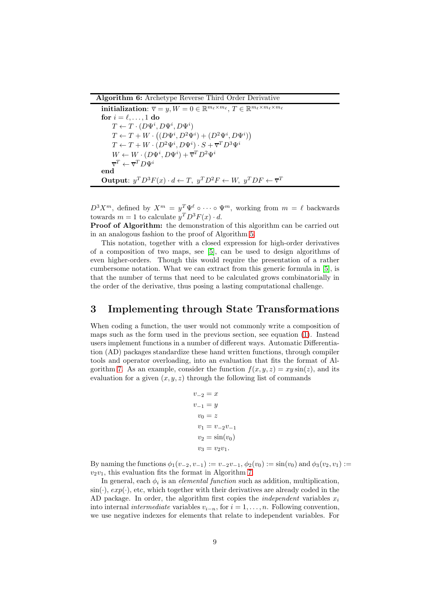<span id="page-8-1"></span>Algorithm 6: Archetype Reverse Third Order Derivative

```
\textbf{initialization: } \overline{\mathbf{v}} = y, W = 0 \in \mathbb{R}^{m_{\ell} \times m_{\ell}}, T \in \mathbb{R}^{m_{\ell} \times m_{\ell} \times m_{\ell}}for i = \ell, \ldots, 1 do
        T \leftarrow T \cdot (D \Psi^i, D \Psi^i, D \Psi^i)T \leftarrow T + W \cdot ((D\Psi^i, D^2\Psi^i) + (D^2\Psi^i, D\Psi^i))T \leftarrow T + W \cdot (D^2 \Psi^i, D \Psi^i) \cdot S + \overline{\mathbf{v}}^T D^3 \Psi^iW \leftarrow W \cdot (D \Psi^i, D \Psi^i) + \overline{\mathbf{v}}^T D^2 \Psi^i\overline{\mathrm{v}}^T\leftarrow\overline{\mathrm{v}}^T D \Psi^iend
Output: y^T D^3 F(x) \cdot d \leftarrow T, y^T D^2 F \leftarrow W, y^T DF \leftarrow \overline{v}^T
```
 $D^3 X^m$ , defined by  $X^m = y^T \Psi^\ell \circ \cdots \circ \Psi^m$ , working from  $m = \ell$  backwards towards  $m = 1$  to calculate  $y^T D^3 F(x) \cdot d$ .

Proof of Algorithm: the demonstration of this algorithm can be carried out in an analogous fashion to the proof of Algorithm [5.](#page-6-0)

This notation, together with a closed expression for high-order derivatives of a composition of two maps, see [\[5\]](#page-19-3), can be used to design algorithms of even higher-orders. Though this would require the presentation of a rather cumbersome notation. What we can extract from this generic formula in [\[5\]](#page-19-3), is that the number of terms that need to be calculated grows combinatorially in the order of the derivative, thus posing a lasting computational challenge.

### <span id="page-8-0"></span>3 Implementing through State Transformations

When coding a function, the user would not commonly write a composition of maps such as the form used in the previous section, see equation [\(1\)](#page-1-1). Instead users implement functions in a number of different ways. Automatic Differentiation (AD) packages standardize these hand written functions, through compiler tools and operator overloading, into an evaluation that fits the format of Al-gorithm [7.](#page-9-0) As an example, consider the function  $f(x, y, z) = xy \sin(z)$ , and its evaluation for a given  $(x, y, z)$  through the following list of commands

$$
v_{-2} = x
$$
  
\n
$$
v_{-1} = y
$$
  
\n
$$
v_0 = z
$$
  
\n
$$
v_1 = v_{-2}v_{-1}
$$
  
\n
$$
v_2 = \sin(v_0)
$$
  
\n
$$
v_3 = v_2v_1.
$$

By naming the functions  $\phi_1(v_{-2}, v_{-1}) := v_{-2}v_{-1}, \phi_2(v_0) := \sin(v_0)$  and  $\phi_3(v_2, v_1) :=$  $v_2v_1$ , this evaluation fits the format in Algorithm [7.](#page-9-0)

In general, each  $\phi_i$  is an *elemental function* such as addition, multiplication,  $\sin(\cdot), \exp(\cdot)$ , etc, which together with their derivatives are already coded in the AD package. In order, the algorithm first copies the *independent* variables  $x_i$ into internal *intermediate* variables  $v_{i-n}$ , for  $i = 1, \ldots, n$ . Following convention, we use negative indexes for elements that relate to independent variables. For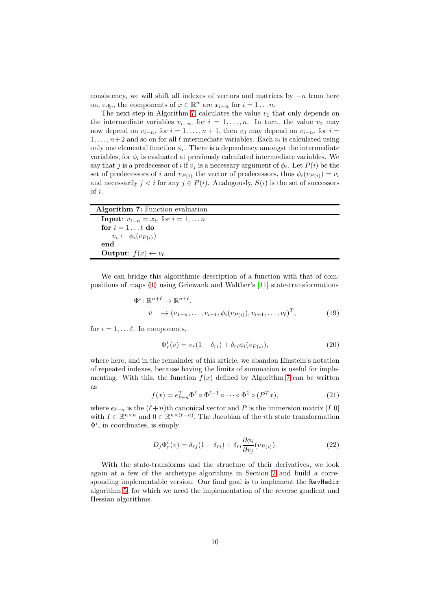consistency, we will shift all indexes of vectors and matrices by  $-n$  from here on, e.g., the components of  $x \in \mathbb{R}^n$  are  $x_{i-n}$  for  $i = 1 \dots n$ .

The next step in Algorithm [7,](#page-9-0) calculates the value  $v_1$  that only depends on the intermediate variables  $v_{i-n}$ , for  $i = 1, \ldots, n$ . In turn, the value  $v_2$  may now depend on  $v_{i-n}$ , for  $i = 1, \ldots, n+1$ , then  $v_3$  may depend on  $v_{i-n}$ , for  $i =$  $1, \ldots, n+2$  and so on for all  $\ell$  intermediate variables. Each  $v_i$  is calculated using only one elemental function  $\phi_i$ . There is a dependency amongst the intermediate variables, for  $\phi_i$  is evaluated at previously calculated intermediate variables. We say that j is a predecessor of i if  $v_j$  is a necessary argument of  $\phi_i$ . Let  $P(i)$  be the set of predecessors of i and  $v_{P(i)}$  the vector of predecessors, thus  $\phi_i(v_{P(i)}) = v_i$ and necessarily  $j < i$  for any  $j \in P(i)$ . Analogously,  $S(i)$  is the set of successors of i.

<span id="page-9-0"></span>

| <b>Algorithm 7:</b> Function evaluation         |  |
|-------------------------------------------------|--|
| <b>Input:</b> $v_{i-n} = x_i$ , for $i = 1,  n$ |  |
| for $i = 1 \dots \ell$ do                       |  |
| $v_i \leftarrow \phi_i(v_{P(i)})$               |  |
| end                                             |  |
| <b>Output:</b> $f(x) \leftarrow v_\ell$         |  |

We can bridge this algorithmic description of a function with that of compositions of maps [\(1\)](#page-1-1) using Griewank and Walther's [\[11\]](#page-20-0) state-transformations

$$
\Phi^i: \mathbb{R}^{n+\ell} \to \mathbb{R}^{n+\ell},
$$
  
\n
$$
v \mapsto (v_{1-n}, \dots, v_{i-1}, \phi_i(v_{P(i)}), v_{i+1}, \dots, v_{\ell})^T,
$$
\n(19)

for  $i = 1, \ldots \ell$ . In components,

$$
\Phi_r^i(v) = v_r(1 - \delta_{ri}) + \delta_{ri}\phi_i(v_{P(i)}),\tag{20}
$$

where here, and in the remainder of this article, we abandon Einstein's notation of repeated indexes, because having the limits of summation is useful for implementing. With this, the function  $f(x)$  defined by Algorithm [7](#page-9-0) can be written as

<span id="page-9-1"></span>
$$
f(x) = e_{\ell+n}^T \Phi^\ell \circ \Phi^{\ell-1} \circ \cdots \circ \Phi^1 \circ (P^T x), \tag{21}
$$

where  $e_{\ell+n}$  is the  $(\ell+n)$ th canonical vector and P is the immersion matrix [I 0] with  $I \in \mathbb{R}^{n \times n}$  and  $0 \in \mathbb{R}^{n \times (\ell - n)}$ . The Jacobian of the *i*th state transformation  $\Phi^i$ , in coordinates, is simply

<span id="page-9-2"></span>
$$
D_j \Phi_r^i(v) = \delta_{rj}(1 - \delta_{ri}) + \delta_{ri} \frac{\partial \phi_i}{\partial v_j}(v_{P(i)}).
$$
\n(22)

With the state-transforms and the structure of their derivatives, we look again at a few of the archetype algorithms in Section [2](#page-1-0) and build a corresponding implementable version. Our final goal is to implement the RevHedir algorithm [5,](#page-6-0) for which we need the implementation of the reverse gradient and Hessian algorithms.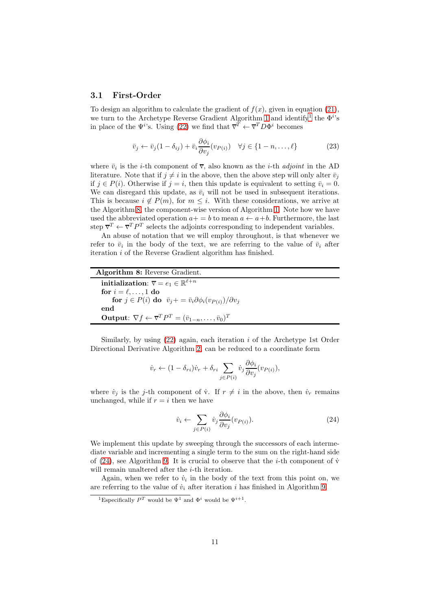#### 3.1 First-Order

To design an algorithm to calculate the gradient of  $f(x)$ , given in equation [\(21\)](#page-9-1), we turn to the Archetype Reverse Gradient Algorithm [1](#page-2-1) and identify<sup>[1](#page-10-0)</sup> the  $\Phi^{i}$ 's in place of the  $\Psi^{i}$ 's. Using [\(22\)](#page-9-2) we find that  $\overline{\mathbf{v}}^{T} \leftarrow \overline{\mathbf{v}}^{T} D \Phi^{i}$  becomes

$$
\bar{v}_j \leftarrow \bar{v}_j (1 - \delta_{ij}) + \bar{v}_i \frac{\partial \phi_i}{\partial v_j} (v_{P(i)}) \quad \forall j \in \{1 - n, \dots, \ell\}
$$
\n(23)

where  $\bar{v}_i$  is the *i*-th component of  $\bar{v}$ , also known as the *i*-th *adjoint* in the AD literature. Note that if  $j \neq i$  in the above, then the above step will only alter  $\bar{v}_i$ if  $j \in P(i)$ . Otherwise if  $j = i$ , then this update is equivalent to setting  $\bar{v}_i = 0$ . We can disregard this update, as  $\bar{v}_i$  will not be used in subsequent iterations. This is because  $i \notin P(m)$ , for  $m \leq i$ . With these considerations, we arrive at the Algorithm [8,](#page-10-1) the component-wise version of Algorithm [1.](#page-2-1) Note how we have used the abbreviated operation  $a+=b$  to mean  $a \leftarrow a+b$ . Furthermore, the last step  $\overline{v}^T \leftarrow \overline{v}^T P^T$  selects the adjoints corresponding to independent variables.

An abuse of notation that we will employ throughout, is that whenever we refer to  $\bar{v}_i$  in the body of the text, we are referring to the value of  $\bar{v}_i$  after iteration i of the Reverse Gradient algorithm has finished.

<span id="page-10-1"></span>

| <b>Algorithm 8:</b> Reverse Gradient.                                                                            |
|------------------------------------------------------------------------------------------------------------------|
| initialization: $\overline{\mathbf{v}} = e_1 \in \mathbb{R}^{\ell+n}$                                            |
| for $i = \ell, \ldots, 1$ do                                                                                     |
| for $j \in P(i)$ do $\bar{v}_j = \bar{v}_i \partial \phi_i(v_{P(i)})/\partial v_j$                               |
| end                                                                                                              |
| <b>Output:</b> $\nabla f \leftarrow \overline{\mathbf{v}}^T P^T = (\overline{v}_{1-n}, \dots, \overline{v}_0)^T$ |

Similarly, by using  $(22)$  again, each iteration i of the Archetype 1st Order Directional Derivative Algorithm [2,](#page-3-2) can be reduced to a coordinate form

$$
\dot{v}_r \leftarrow (1 - \delta_{ri})\dot{v}_r + \delta_{ri} \sum_{j \in P(i)} \dot{v}_j \frac{\partial \phi_i}{\partial v_j}(v_{P(i)}),
$$

where  $\dot{v}_j$  is the j-th component of  $\dot{v}$ . If  $r \neq i$  in the above, then  $\dot{v}_r$  remains unchanged, while if  $r = i$  then we have

<span id="page-10-2"></span>
$$
\dot{v}_i \leftarrow \sum_{j \in P(i)} \dot{v}_j \frac{\partial \phi_i}{\partial v_j} (v_{P(i)}).
$$
\n(24)

We implement this update by sweeping through the successors of each intermediate variable and incrementing a single term to the sum on the right-hand side of [\(24\)](#page-10-2), see Algorithm [9.](#page-11-0) It is crucial to observe that the *i*-th component of  $\dot{v}$ will remain unaltered after the *i*-th iteration.

Again, when we refer to  $\dot{v}_i$  in the body of the text from this point on, we are referring to the value of  $\dot{v}_i$  after iteration i has finished in Algorithm [9.](#page-11-0)

<span id="page-10-0"></span><sup>&</sup>lt;sup>1</sup>Especifically  $P^T$  would be  $\Psi^1$  and  $\Phi^i$  would be  $\Psi^{i+1}$ .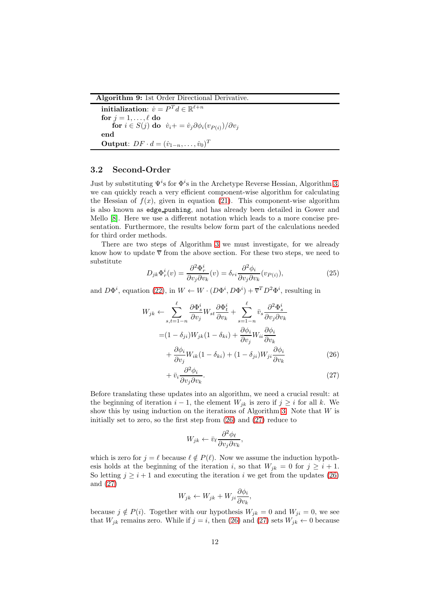<span id="page-11-0"></span>Algorithm 9: 1st Order Directional Derivative.

 $\textbf{initialization:}~~\dot{v}=P^Td\in\mathbb{R}^{\ell+n}$ for  $j = 1, \ldots, \ell$  do for  $i \in S(j)$  do  $\dot{v}_i += \dot{v}_j \partial \phi_i(v_{P(i)})/\partial v_j$ end Output:  $DF \cdot d = (\dot{v}_{1-n}, \dots, \dot{v}_0)^T$ 

### 3.2 Second-Order

Just by substituting  $\Psi^i$ s for  $\Phi^i$ s in the Archetype Reverse Hessian, Algorithm [3,](#page-4-1) we can quickly reach a very efficient component-wise algorithm for calculating the Hessian of  $f(x)$ , given in equation [\(21\)](#page-9-1). This component-wise algorithm is also known as edge pushing, and has already been detailed in Gower and Mello [\[8\]](#page-20-2). Here we use a different notation which leads to a more concise presentation. Furthermore, the results below form part of the calculations needed for third order methods.

There are two steps of Algorithm [3](#page-4-1) we must investigate, for we already know how to update  $\overline{v}$  from the above section. For these two steps, we need to substitute

<span id="page-11-3"></span>
$$
D_{jk}\Phi_r^i(v) = \frac{\partial^2 \Phi_r^i}{\partial v_j \partial v_k}(v) = \delta_{ri} \frac{\partial^2 \phi_i}{\partial v_j \partial v_k}(v_{P(i)}),
$$
\n(25)

and  $D\Phi^i$ , equation [\(22\)](#page-9-2), in  $W \leftarrow W \cdot (D\Phi^i, D\Phi^i) + \overline{v}^T D^2 \Phi^i$ , resulting in

$$
W_{jk} \leftarrow \sum_{s,t=1-n}^{\ell} \frac{\partial \Phi_s^i}{\partial v_j} W_{st} \frac{\partial \Phi_t^i}{\partial v_k} + \sum_{s=1-n}^{\ell} \bar{v}_s \frac{\partial^2 \Phi_s^i}{\partial v_j \partial v_k}
$$
  
=  $(1 - \delta_{ji}) W_{jk} (1 - \delta_{ki}) + \frac{\partial \phi_i}{\partial v_j} W_{ii} \frac{\partial \phi_i}{\partial v_k}$   
+  $\frac{\partial \phi_i}{\partial v_j} W_{ik} (1 - \delta_{ki}) + (1 - \delta_{ji}) W_{ji} \frac{\partial \phi_i}{\partial v_k}$  (26)

<span id="page-11-1"></span>
$$
+\bar{v}_i \frac{\partial^2 \phi_i}{\partial v_j \partial v_k}.\tag{27}
$$

Before translating these updates into an algorithm, we need a crucial result: at the beginning of iteration  $i - 1$ , the element  $W_{jk}$  is zero if  $j \geq i$  for all k. We show this by using induction on the iterations of Algorithm [3.](#page-4-1) Note that  $W$  is initially set to zero, so the first step from [\(26\)](#page-11-1) and [\(27\)](#page-11-2) reduce to

<span id="page-11-2"></span>
$$
W_{jk} \leftarrow \bar{v}_{\ell} \frac{\partial^2 \phi_{\ell}}{\partial v_j \partial v_k},
$$

which is zero for  $j = \ell$  because  $\ell \notin P(\ell)$ . Now we assume the induction hypothesis holds at the beginning of the iteration i, so that  $W_{jk} = 0$  for  $j \geq i + 1$ . So letting  $j \geq i + 1$  and executing the iteration i we get from the updates [\(26\)](#page-11-1) and [\(27\)](#page-11-2)

$$
W_{jk} \leftarrow W_{jk} + W_{ji} \frac{\partial \phi_i}{\partial v_k},
$$

because  $j \notin P(i)$ . Together with our hypothesis  $W_{ik} = 0$  and  $W_{ii} = 0$ , we see that  $W_{jk}$  remains zero. While if  $j = i$ , then [\(26\)](#page-11-1) and [\(27\)](#page-11-2) sets  $W_{jk} \leftarrow 0$  because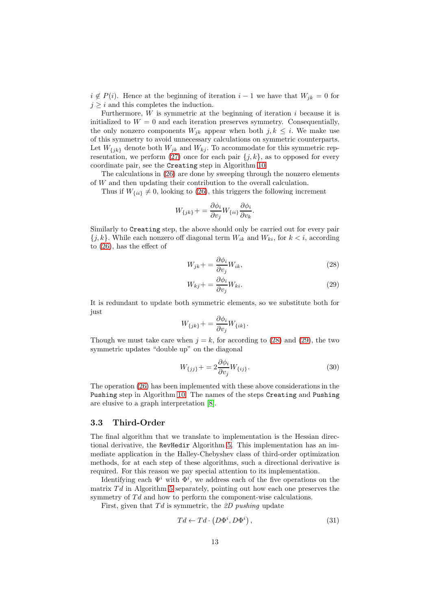$i \notin P(i)$ . Hence at the beginning of iteration  $i-1$  we have that  $W_{jk} = 0$  for  $j \geq i$  and this completes the induction.

Furthermore,  $W$  is symmetric at the beginning of iteration  $i$  because it is initialized to  $W = 0$  and each iteration preserves symmetry. Consequentially, the only nonzero components  $W_{ik}$  appear when both  $j, k \leq i$ . We make use of this symmetry to avoid unnecessary calculations on symmetric counterparts. Let  $W_{\{jk\}}$  denote both  $W_{jk}$  and  $W_{kj}$ . To accommodate for this symmetric representation, we perform  $(27)$  once for each pair  $\{j, k\}$ , as to opposed for every coordinate pair, see the Creating step in Algorithm [10.](#page-13-0)

The calculations in [\(26\)](#page-11-1) are done by sweeping through the nonzero elements of W and then updating their contribution to the overall calculation.

Thus if  $W_{\{ii\}} \neq 0$ , looking to [\(26\)](#page-11-1), this triggers the following increment

$$
W_{\{jk\}} + \frac{\partial \phi_i}{\partial v_j} W_{\{ii\}} \frac{\partial \phi_i}{\partial v_k}.
$$

Similarly to Creating step, the above should only be carried out for every pair  ${j, k}$ . While each nonzero off diagonal term  $W_{ik}$  and  $W_{ki}$ , for  $k < i$ , according to [\(26\)](#page-11-1), has the effect of

<span id="page-12-0"></span>
$$
W_{jk} + \frac{\partial \phi_i}{\partial v_j} W_{ik},\tag{28}
$$

<span id="page-12-1"></span>
$$
W_{kj} + \frac{\partial \phi_i}{\partial v_j} W_{ki}.
$$
\n(29)

It is redundant to update both symmetric elements, so we substitute both for just

$$
W_{\{jk\}} += \frac{\partial \phi_i}{\partial v_j} W_{\{ik\}}.
$$

Though we must take care when  $j = k$ , for according to [\(28\)](#page-12-0) and [\(29\)](#page-12-1), the two symmetric updates "double up" on the diagonal

$$
W_{\{jj\}} + = 2 \frac{\partial \phi_i}{\partial v_j} W_{\{ij\}}.
$$
\n(30)

The operation [\(26\)](#page-11-1) has been implemented with these above considerations in the Pushing step in Algorithm [10.](#page-13-0) The names of the steps Creating and Pushing are elusive to a graph interpretation [\[8\]](#page-20-2).

### 3.3 Third-Order

The final algorithm that we translate to implementation is the Hessian directional derivative, the RevHedir Algorithm [5.](#page-6-0) This implementation has an immediate application in the Halley-Chebyshev class of third-order optimization methods, for at each step of these algorithms, such a directional derivative is required. For this reason we pay special attention to its implementation.

Identifying each  $\Psi^i$  with  $\Phi^i$ , we address each of the five operations on the matrix  $Td$  in Algorithm [5](#page-6-0) separately, pointing out how each one preserves the symmetry of  $Td$  and how to perform the component-wise calculations.

First, given that  $Td$  is symmetric, the 2D pushing update

<span id="page-12-2"></span>
$$
Td \leftarrow Td \cdot \left(D\Phi^i, D\Phi^i\right),\tag{31}
$$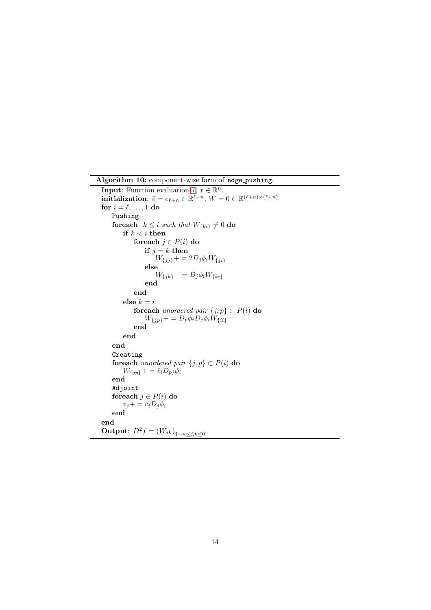<span id="page-13-0"></span>Algorithm 10: component-wise form of edge pushing. **Input:** Function evaluation [7,](#page-9-0)  $x \in \mathbb{R}^n$ . initialization:  $\bar{v} = e_{\ell+n} \in \mathbb{R}^{\ell+n}$ ,  $W = 0 \in \mathbb{R}^{(\ell+n)\times(\ell+n)}$ for  $i = \ell, \ldots, 1$  do Pushing for each  $k \leq i$  such that  $W_{\{ki\}} \neq 0$  do if  $k < i$  then foreach  $j \in P(i)$  do if  $j = k$  then  $W_{\{jj\}} + = 2D_j \phi_i W_{\{ji\}}$ else  $W_{\{jk\}} += D_j \phi_i W_{\{ki\}}$ end end else  $k = i$ foreach unordered pair  $\{j, p\} \subset P(i)$  do  $W_{\{jp\}}+ = D_p \phi_i D_j \phi_i W_{\{ii\}}$ end end end Creating foreach *unordered pair*  $\{j, p\} \subset P(i)$  do  $W_{\{jp\}}+ = \bar{v}_i D_{pj} \phi_i$ end Adjoint foreach  $j \in P(i)$  do  $\bar{v}_j+=\bar{v}_iD_j\phi_i$ end end **Output**:  $D^2 f = (W_{jk})^1_{1-n \leq j,k \leq 0}$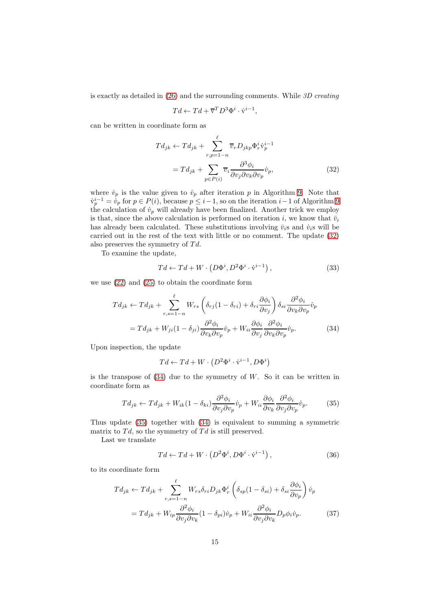is exactly as detailed in [\(26\)](#page-11-1) and the surrounding comments. While 3D creating

<span id="page-14-0"></span>
$$
Td \leftarrow Td + \overline{\mathbf{v}}^T D^3 \Phi^i \cdot \dot{\mathbf{v}}^{i-1},
$$

can be written in coordinate form as

$$
Td_{jk} \leftarrow Td_{jk} + \sum_{r,p=1-n}^{\ell} \overline{v}_r D_{jkp} \Phi_r^i \dot{\mathbf{v}}_p^{i-1}
$$

$$
= Td_{jk} + \sum_{p \in P(i)} \overline{v}_i \frac{\partial^3 \phi_i}{\partial v_j \partial v_k \partial v_p} \dot{v}_p,
$$
(32)

where  $\dot{v}_p$  is the value given to  $\dot{v}_p$  after iteration p in Algorithm [9.](#page-11-0) Note that  $\dot{v}_p^{i-1} = \dot{v}_p$  for  $p \in P(i)$ , because  $p \leq i-1$ , so on the iteration  $i-1$  of Algorithm [9](#page-11-0) the calculation of  $\dot{v}_p$  will already have been finalized. Another trick we employ is that, since the above calculation is performed on iteration i, we know that  $\bar{v}_i$ has already been calculated. These substitutions involving  $\bar{v}_i$ s and  $\dot{v}_i$ s will be carried out in the rest of the text with little or no comment. The update [\(32\)](#page-14-0) also preserves the symmetry of  $Td$ .

To examine the update,

$$
Td \leftarrow Td + W \cdot \left( D\Phi^i, D^2 \Phi^i \cdot \dot{\mathbf{v}}^{i-1} \right),\tag{33}
$$

we use [\(22\)](#page-9-2) and [\(25\)](#page-11-3) to obtain the coordinate form

$$
Td_{jk} \leftarrow Td_{jk} + \sum_{r,s=1-n}^{\ell} W_{rs} \left( \delta_{rj} (1 - \delta_{ri}) + \delta_{ri} \frac{\partial \phi_i}{\partial v_j} \right) \delta_{si} \frac{\partial^2 \phi_i}{\partial v_k \partial v_p} \dot{v}_p
$$
  
=  $Td_{jk} + W_{ji} (1 - \delta_{ji}) \frac{\partial^2 \phi_i}{\partial v_k \partial v_p} \dot{v}_p + W_{ii} \frac{\partial \phi_i}{\partial v_j} \frac{\partial^2 \phi_i}{\partial v_k \partial v_p} \dot{v}_p.$  (34)

Upon inspection, the update

<span id="page-14-2"></span><span id="page-14-1"></span>
$$
Td \leftarrow Td + W \cdot (D^2 \Phi^i \cdot \dot{\mathbf{v}}^{i-1}, D\Phi^i)
$$

is the transpose of  $(34)$  due to the symmetry of W. So it can be written in coordinate form as

$$
Td_{jk} \leftarrow Td_{jk} + W_{ik}(1 - \delta_{ki})\frac{\partial^2 \phi_i}{\partial v_j \partial v_p} \dot{v}_p + W_{ii} \frac{\partial \phi_i}{\partial v_k} \frac{\partial^2 \phi_i}{\partial v_j \partial v_p} \dot{v}_p. \tag{35}
$$

Thus update [\(35\)](#page-14-2) together with [\(34\)](#page-14-1) is equivalent to summing a symmetric matrix to  $Td$ , so the symmetry of  $Td$  is still preserved.

Last we translate

<span id="page-14-3"></span>
$$
Td \leftarrow Td + W \cdot \left( D^2 \Phi^i, D\Phi^i \cdot \dot{\mathbf{v}}^{i-1} \right),\tag{36}
$$

to its coordinate form

$$
Td_{jk} \leftarrow Td_{jk} + \sum_{r,s=1-n}^{\ell} W_{rs} \delta_{ri} D_{jk} \Phi_r^i \left( \delta_{sp} (1 - \delta_{si}) + \delta_{si} \frac{\partial \phi_i}{\partial v_p} \right) \dot{v}_p
$$
  
=  $Td_{jk} + W_{ip} \frac{\partial^2 \phi_i}{\partial v_j \partial v_k} (1 - \delta_{pi}) \dot{v}_p + W_{ii} \frac{\partial^2 \phi_i}{\partial v_j \partial v_k} D_p \phi_i \dot{v}_p.$  (37)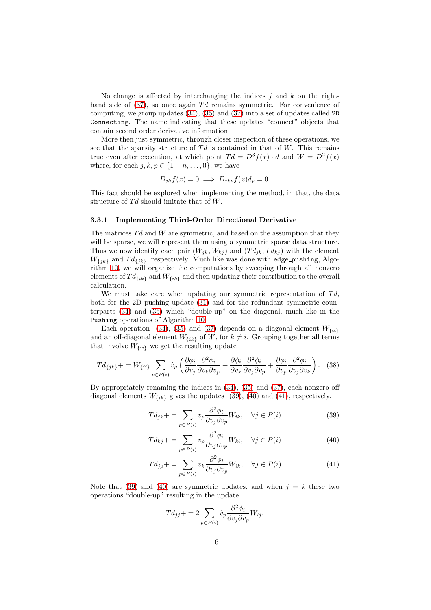No change is affected by interchanging the indices  $j$  and  $k$  on the righthand side of  $(37)$ , so once again Td remains symmetric. For convenience of computing, we group updates [\(34\)](#page-14-1), [\(35\)](#page-14-2) and [\(37\)](#page-14-3) into a set of updates called 2D Connecting. The name indicating that these updates "connect" objects that contain second order derivative information.

More then just symmetric, through closer inspection of these operations, we see that the sparsity structure of  $Td$  is contained in that of W. This remains true even after execution, at which point  $Td = D^{3} f(x) \cdot d$  and  $W = D^{2} f(x)$ where, for each  $j, k, p \in \{1-n, \ldots, 0\}$ , we have

$$
D_{jk}f(x) = 0 \implies D_{jkp}f(x)d_p = 0.
$$

This fact should be explored when implementing the method, in that, the data structure of  $Td$  should imitate that of  $W$ .

#### 3.3.1 Implementing Third-Order Directional Derivative

The matrices  $Td$  and  $W$  are symmetric, and based on the assumption that they will be sparse, we will represent them using a symmetric sparse data structure. Thus we now identify each pair  $(W_{jk}, W_{kj})$  and  $(T d_{jk}, T d_{kj})$  with the element  $W_{\{jk\}}$  and  $Td_{\{jk\}}$ , respectively. Much like was done with edge-pushing, Algorithm [10,](#page-13-0) we will organize the computations by sweeping through all nonzero elements of  $Td_{\{ik\}}$  and  $W_{\{ik\}}$  and then updating their contribution to the overall calculation.

We must take care when updating our symmetric representation of  $Td$ , both for the 2D pushing update [\(31\)](#page-12-2) and for the redundant symmetric counterparts [\(34\)](#page-14-1) and [\(35\)](#page-14-2) which "double-up" on the diagonal, much like in the Pushing operations of Algorithm [10.](#page-13-0)

Each operation [\(34\)](#page-14-1), [\(35\)](#page-14-2) and [\(37\)](#page-14-3) depends on a diagonal element  $W_{\{ii\}}$ and an off-diagonal element  $W_{\{ik\}}$  of W, for  $k \neq i$ . Grouping together all terms that involve  $W_{\{ii\}}$  we get the resulting update

$$
Td_{\{jk\}} += W_{\{ii\}} \sum_{p \in P(i)} \dot{v}_p \left( \frac{\partial \phi_i}{\partial v_j} \frac{\partial^2 \phi_i}{\partial v_k \partial v_p} + \frac{\partial \phi_i}{\partial v_k} \frac{\partial^2 \phi_i}{\partial v_j \partial v_p} + \frac{\partial \phi_i}{\partial v_p} \frac{\partial^2 \phi_i}{\partial v_j \partial v_k} \right). \tag{38}
$$

By appropriately renaming the indices in [\(34\)](#page-14-1), [\(35\)](#page-14-2) and [\(37\)](#page-14-3), each nonzero off diagonal elements  $W_{\{ik\}}$  gives the updates [\(39\)](#page-15-0), [\(40\)](#page-15-1) and [\(41\)](#page-15-2), respectively.

<span id="page-15-0"></span>
$$
Td_{jk} += \sum_{p \in P(i)} \dot{v}_p \frac{\partial^2 \phi_i}{\partial v_j \partial v_p} W_{ik}, \quad \forall j \in P(i)
$$
\n(39)

$$
Td_{kj} += \sum_{p \in P(i)} \dot{v}_p \frac{\partial^2 \phi_i}{\partial v_j \partial v_p} W_{ki}, \quad \forall j \in P(i)
$$
\n
$$
(40)
$$

$$
Td_{jp} + \sum_{p \in P(i)} \dot{v}_k \frac{\partial^2 \phi_i}{\partial v_j \partial v_p} W_{ik}, \quad \forall j \in P(i)
$$
\n<sup>(41)</sup>

Note that [\(39\)](#page-15-0) and [\(40\)](#page-15-1) are symmetric updates, and when  $j = k$  these two operations "double-up" resulting in the update

<span id="page-15-2"></span><span id="page-15-1"></span>
$$
Td_{jj} += 2 \sum_{p \in P(i)} \dot{v}_p \frac{\partial^2 \phi_i}{\partial v_j \partial v_p} W_{ij}.
$$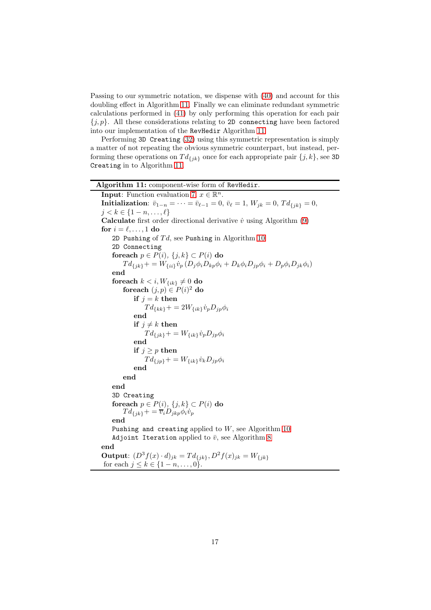Passing to our symmetric notation, we dispense with [\(40\)](#page-15-1) and account for this doubling effect in Algorithm [11.](#page-16-0) Finally we can eliminate redundant symmetric calculations performed in [\(41\)](#page-15-2) by only performing this operation for each pair  ${j, p}$ . All these considerations relating to 2D connecting have been factored into our implementation of the RevHedir Algorithm [11.](#page-16-0)

Performing 3D Creating [\(32\)](#page-14-0) using this symmetric representation is simply a matter of not repeating the obvious symmetric counterpart, but instead, performing these operations on  $Td_{\{jk\}}$  once for each appropriate pair  $\{j,k\}$ , see 3D Creating in to Algorithm [11.](#page-16-0)

<span id="page-16-0"></span>

| Algorithm 11: component-wise form of RevHedir.                                                                                     |
|------------------------------------------------------------------------------------------------------------------------------------|
| <b>Input:</b> Function evaluation 7, $x \in \mathbb{R}^n$ .                                                                        |
| <b>Initialization:</b> $\bar{v}_{1-n} = \cdots = \bar{v}_{\ell-1} = 0$ , $\bar{v}_{\ell} = 1$ , $W_{jk} = 0$ , $Td_{\{jk\}} = 0$ , |
| $j < k \in \{1-n,\ldots,\ell\}$                                                                                                    |
| <b>Calculate</b> first order directional derivative $\dot{v}$ using Algorithm $(9)$                                                |
| for $i = \ell, \ldots, 1$ do                                                                                                       |
| 2D Pushing of $Td$ , see Pushing in Algorithm 10                                                                                   |
| 2D Connecting                                                                                                                      |
| foreach $p \in P(i)$ , $\{j,k\} \subset P(i)$ do                                                                                   |
| $Td_{\{jk\}} + = W_{\{ii\}} \dot{v}_p (D_j \phi_i D_{kp} \phi_i + D_k \phi_i D_{jp} \phi_i + D_p \phi_i D_{jk} \phi_i)$            |
| end                                                                                                                                |
| for each $k < i$ , $W_{\{ik\}} \neq 0$ do                                                                                          |
| foreach $(j, p) \in P(i)^2$ do                                                                                                     |
| if $j = k$ then                                                                                                                    |
| $Td_{\{kk\}} += 2W_{\{ik\}} \dot{v}_p D_{jp} \phi_i$                                                                               |
| end                                                                                                                                |
| if $j \neq k$ then                                                                                                                 |
| $Td_{\{jk\}} += W_{\{ik\}} \dot{v}_p D_{jp} \phi_i$                                                                                |
| end                                                                                                                                |
| if $j \geq p$ then                                                                                                                 |
| $Td_{\{ip\}} += W_{\{ik\}} \dot{v}_k D_{jp} \phi_i$                                                                                |
| end                                                                                                                                |
| end                                                                                                                                |
| end                                                                                                                                |
| 3D Creating                                                                                                                        |
| foreach $p \in P(i)$ , $\{j,k\} \subset P(i)$ do                                                                                   |
| $Td_{\{jk\}} += \overline{v}_i D_{jkp} \phi_i \dot{v}_p$                                                                           |
| end                                                                                                                                |
| Pushing and creating applied to $W$ , see Algorithm 10                                                                             |
| Adjoint Iteration applied to $\bar{v}$ , see Algorithm 8                                                                           |
| end                                                                                                                                |
| <b>Output:</b> $(D^3 f(x) \cdot d)_{jk} = T d_{\{jk\}}, D^2 f(x)_{jk} = W_{\{jk\}}$                                                |
| for each $j \le k \in \{1 - n, , 0\}$ .                                                                                            |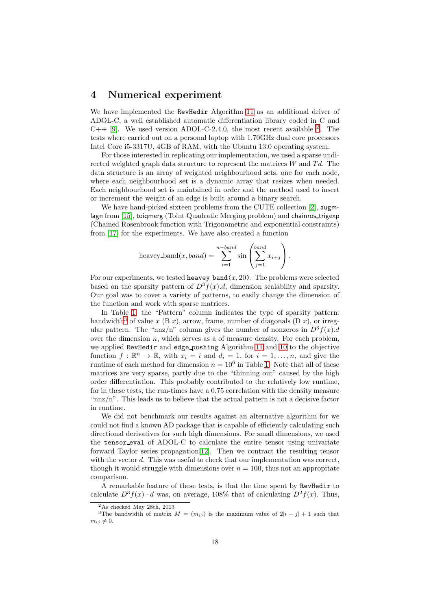### <span id="page-17-0"></span>4 Numerical experiment

We have implemented the RevHedir Algorithm [11](#page-16-0) as an additional driver of ADOL-C, a well established automatic differentiation library coded in C and  $C++$  [\[9\]](#page-20-10). We used version ADOL-C-[2](#page-17-1).4.0, the most recent available  $^2$ . The tests where carried out on a personal laptop with 1.70GHz dual core processors Intel Core i5-3317U, 4GB of RAM, with the Ubuntu 13.0 operating system.

For those interested in replicating our implementation, we used a sparse undirected weighted graph data structure to represent the matrices  $W$  and  $Td$ . The data structure is an array of weighted neighbourhood sets, one for each node, where each neighbourhood set is a dynamic array that resizes when needed. Each neighbourhood set is maintained in order and the method used to insert or increment the weight of an edge is built around a binary search.

We have hand-picked sixteen problems from the CUTE collection [\[2\]](#page-19-4), augm-lagn from [\[15\]](#page-20-11), toiqmerg (Toint Quadratic Merging problem) and chainros trigexp (Chained Rosenbrook function with Trigonometric and exponential constraints) from [\[17\]](#page-20-12) for the experiments. We have also created a function

heavey-band
$$
(x, band) = \sum_{i=1}^{n-band} \sin \left( \sum_{j=1}^{band} x_{i+j} \right).
$$

For our experiments, we tested heavey band $(x, 20)$ . The problems were selected based on the sparsity pattern of  $D^3f(x)$ .d, dimension scalability and sparsity. Our goal was to cover a variety of patterns, to easily change the dimension of the function and work with sparse matrices.

In Table [1,](#page-18-1) the "Pattern" column indicates the type of sparsity pattern: bandwidth<sup>[3](#page-17-2)</sup> of value x (B x), arrow, frame, number of diagonals (D x), or irregular pattern. The "nnz/n" column gives the number of nonzeros in  $D^3 f(x)$ .d over the dimension  $n$ , which serves as a of measure density. For each problem, we applied RevHedir and edge pushing Algorithm [11](#page-16-0) and [10](#page-13-0) to the objective function  $f : \mathbb{R}^n \to \mathbb{R}$ , with  $x_i = i$  and  $d_i = 1$ , for  $i = 1, ..., n$ , and give the runtime of each method for dimension  $n = 10^6$  in Table [1.](#page-18-1) Note that all of these matrices are very sparse, partly due to the "thinning out" caused by the high order differentiation. This probably contributed to the relatively low runtime, for in these tests, the run-times have a 0.75 correlation with the density measure " $nnz/n$ ". This leads us to believe that the actual pattern is not a decisive factor in runtime.

We did not benchmark our results against an alternative algorithm for we could not find a known AD package that is capable of efficiently calculating such directional derivatives for such high dimensions. For small dimensions, we used the tensor eval of ADOL-C to calculate the entire tensor using univariate forward Taylor series propagation[\[12\]](#page-20-7). Then we contract the resulting tensor with the vector d. This was useful to check that our implementation was correct, though it would struggle with dimensions over  $n = 100$ , thus not an appropriate comparison.

A remarkable feature of these tests, is that the time spent by RevHedir to calculate  $D^3 f(x) \cdot d$  was, on average, 108% that of calculating  $D^2 f(x)$ . Thus,

<span id="page-17-1"></span><sup>2</sup>As checked May 28th, 2013

<span id="page-17-2"></span><sup>&</sup>lt;sup>3</sup>The bandwidth of matrix  $M = (m_{ij})$  is the maximum value of  $2|i-j| + 1$  such that  $m_{ij} \neq 0.$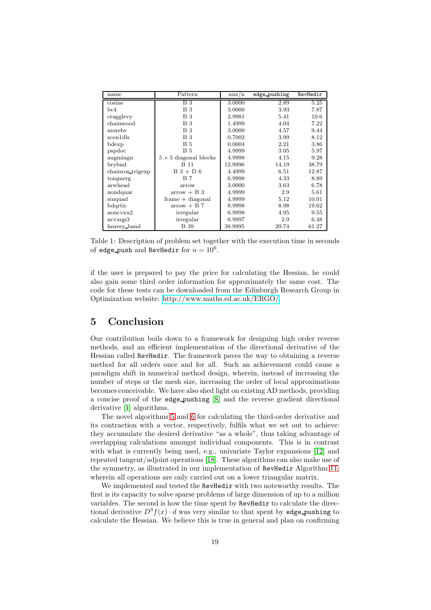| name             | Pattern                      | nnz/n   | edge_pushing | RevHedir |
|------------------|------------------------------|---------|--------------|----------|
| cosine           | B <sub>3</sub>               | 3.0000  | 2.89         | 5.25     |
| bc4              | <b>B</b> 3                   | 3.0000  | 3.93         | 7.87     |
| cragglevy        | В3                           | 2.9981  | 5.41         | 10.6     |
| chainwood        | <b>B</b> 3                   | 1.4999  | 4.04         | 7.22     |
| moreby           | B <sub>3</sub>               | 3.0000  | 4.57         | 9.44     |
| sconldls         | <b>B</b> 3                   | 0.7002  | 3.99         | 8.12     |
| bdexp            | B 5                          | 0.0004  | 2.21         | 3.86     |
| pspdoc           | <b>B</b> 5                   | 4.9999  | 3.05         | 5.97     |
| augmlagn         | $5 \times 5$ diagonal blocks | 4.9998  | 4.15         | 9.28     |
| brybnd           | B 11                         | 12.9996 | 14.19        | 38.79    |
| chainros_trigexp | $B_3 + D_6$                  | 4.4999  | 6.51         | 12.87    |
| toiqmerg         | B 7                          | 6.9998  | 4.33         | 8.89     |
| arwhead          | arrow                        | 3.0000  | 3.63         | 6.78     |
| nondquar         | $arrow + B$ 3                | 4.9999  | 2.9          | 5.61     |
| sinquad          | $frame + diagonal$           | 4.9999  | 5.12         | 10.01    |
| bdqrtic          | $arrow + B 7$                | 8.9998  | 8.98         | 19.62    |
| noncyxu2         | irregular                    | 6.9998  | 4.95         | 9.55     |
| ncvxqp3          | irregular                    | 6.9997  | 2.9          | 6.48     |
| heavey band      | <b>B</b> 39                  | 38.9995 | 20.74        | 61.27    |

<span id="page-18-1"></span>Table 1: Description of problem set together with the execution time in seconds of edge\_push and RevHedir for  $n = 10^6$ .

if the user is prepared to pay the price for calculating the Hessian, he could also gain some third order information for approximately the same cost. The code for these tests can be downloaded from the Edinburgh Research Group in Optimization website: [http://www.maths.ed.ac.uk/ERGO/.](http://www.maths.ed.ac.uk/ERGO/)

## <span id="page-18-0"></span>5 Conclusion

Our contribution boils down to a framework for designing high order reverse methods, and an efficient implementation of the directional derivative of the Hessian called RevHedir. The framework paves the way to obtaining a reverse method for all orders once and for all. Such an achievement could cause a paradigm shift in numerical method design, wherein, instead of increasing the number of steps or the mesh size, increasing the order of local approximations becomes conceivable. We have also shed light on existing AD methods, providing a concise proof of the edge pushing [\[8\]](#page-20-2) and the reverse gradient directional derivative [\[1\]](#page-19-5) algorithms.

The novel algorithms [5](#page-6-0) and [6](#page-8-1) for calculating the third-order derivative and its contraction with a vector, respectively, fulfils what we set out to achieve: they accumulate the desired derivative "as a whole", thus taking advantage of overlapping calculations amongst individual components. This is in contrast with what is currently being used, e.g., univariate Taylor expansions [\[12\]](#page-20-7) and repeated tangent/adjoint operations [\[18\]](#page-20-8). These algorithms can also make use of the symmetry, as illustrated in our implementation of RevHedir Algorithm [11,](#page-16-0) wherein all operations are only carried out on a lower triangular matrix.

We implemented and tested the RevHedir with two noteworthy results. The first is its capacity to solve sparse problems of large dimension of up to a million variables. The second is how the time spent by RevHedir to calculate the directional derivative  $D^3 f(x) \cdot d$  was very similar to that spent by edge-pushing to calculate the Hessian. We believe this is true in general and plan on confirming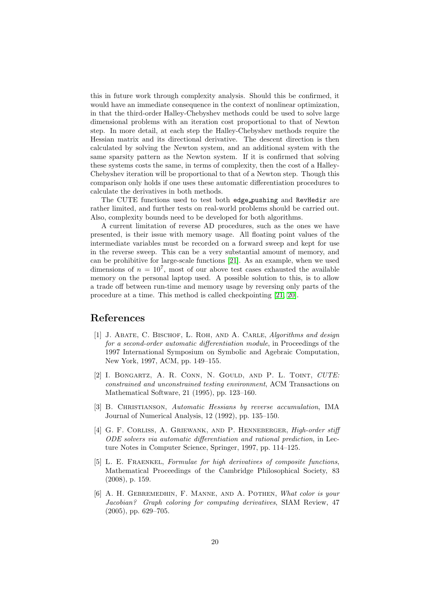this in future work through complexity analysis. Should this be confirmed, it would have an immediate consequence in the context of nonlinear optimization, in that the third-order Halley-Chebyshev methods could be used to solve large dimensional problems with an iteration cost proportional to that of Newton step. In more detail, at each step the Halley-Chebyshev methods require the Hessian matrix and its directional derivative. The descent direction is then calculated by solving the Newton system, and an additional system with the same sparsity pattern as the Newton system. If it is confirmed that solving these systems costs the same, in terms of complexity, then the cost of a Halley-Chebyshev iteration will be proportional to that of a Newton step. Though this comparison only holds if one uses these automatic differentiation procedures to calculate the derivatives in both methods.

The CUTE functions used to test both edge pushing and RevHedir are rather limited, and further tests on real-world problems should be carried out. Also, complexity bounds need to be developed for both algorithms.

A current limitation of reverse AD procedures, such as the ones we have presented, is their issue with memory usage. All floating point values of the intermediate variables must be recorded on a forward sweep and kept for use in the reverse sweep. This can be a very substantial amount of memory, and can be prohibitive for large-scale functions [\[21\]](#page-21-0). As an example, when we used dimensions of  $n = 10^7$ , most of our above test cases exhausted the available memory on the personal laptop used. A possible solution to this, is to allow a trade off between run-time and memory usage by reversing only parts of the procedure at a time. This method is called checkpointing [\[21,](#page-21-0) [20\]](#page-20-13).

### <span id="page-19-5"></span>References

- [1] J. Abate, C. Bischof, L. Roh, and A. Carle, Algorithms and design for a second-order automatic differentiation module, in Proceedings of the 1997 International Symposium on Symbolic and Agebraic Computation, New York, 1997, ACM, pp. 149–155.
- <span id="page-19-4"></span>[2] I. BONGARTZ, A. R. CONN, N. GOULD, AND P. L. TOINT, CUTE: constrained and unconstrained testing environment, ACM Transactions on Mathematical Software, 21 (1995), pp. 123–160.
- <span id="page-19-2"></span>[3] B. Christianson, Automatic Hessians by reverse accumulation, IMA Journal of Numerical Analysis, 12 (1992), pp. 135–150.
- <span id="page-19-1"></span>[4] G. F. CORLISS, A. GRIEWANK, AND P. HENNEBERGER, *High-order stiff* ODE solvers via automatic differentiation and rational prediction, in Lecture Notes in Computer Science, Springer, 1997, pp. 114–125.
- <span id="page-19-3"></span>[5] L. E. Fraenkel, Formulae for high derivatives of composite functions, Mathematical Proceedings of the Cambridge Philosophical Society, 83 (2008), p. 159.
- <span id="page-19-0"></span>[6] A. H. Gebremedhin, F. Manne, and A. Pothen, What color is your Jacobian? Graph coloring for computing derivatives, SIAM Review, 47 (2005), pp. 629–705.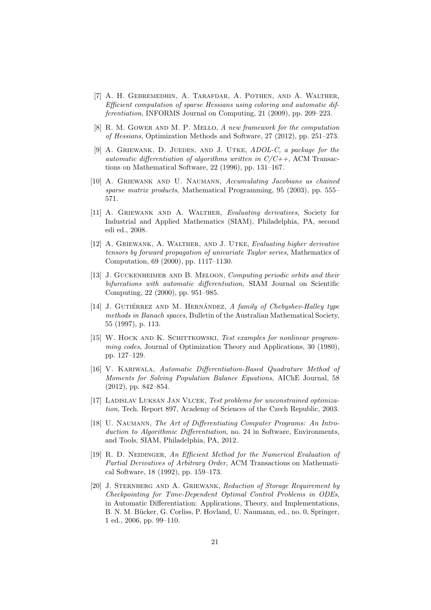- <span id="page-20-3"></span>[7] A. H. Gebremedhin, A. Tarafdar, A. Pothen, and A. Walther, Efficient computation of sparse Hessians using coloring and automatic differentiation, INFORMS Journal on Computing, 21 (2009), pp. 209–223.
- <span id="page-20-2"></span>[8] R. M. GOWER AND M. P. MELLO, A new framework for the computation of Hessians, Optimization Methods and Software, 27 (2012), pp. 251–273.
- <span id="page-20-10"></span>[9] A. GRIEWANK, D. JUEDES, AND J. UTKE, ADOL-C, a package for the automatic differentiation of algorithms written in  $C/C++$ , ACM Transactions on Mathematical Software, 22 (1996), pp. 131–167.
- <span id="page-20-1"></span>[10] A. Griewank and U. Naumann, Accumulating Jacobians as chained sparse matrix products, Mathematical Programming, 95 (2003), pp. 555– 571.
- <span id="page-20-0"></span>[11] A. GRIEWANK AND A. WALTHER, Evaluating derivatives, Society for Industrial and Applied Mathematics (SIAM), Philadelphia, PA, second edi ed., 2008.
- <span id="page-20-7"></span>[12] A. Griewank, A. Walther, and J. Utke, Evaluating higher derivative tensors by forward propagation of univariate Taylor series, Mathematics of Computation, 69 (2000), pp. 1117–1130.
- <span id="page-20-6"></span>[13] J. GUCKENHEIMER AND B. MELOON, Computing periodic orbits and their bifurcations with automatic differentiation, SIAM Journal on Scientific Computing, 22 (2000), pp. 951–985.
- <span id="page-20-4"></span>[14] J. GUTIÉRREZ AND M. HERNÁNDEZ, A family of Chebyshev-Halley type methods in Banach spaces, Bulletin of the Australian Mathematical Society, 55 (1997), p. 113.
- <span id="page-20-11"></span>[15] W. HOCK AND K. SCHITTKOWSKI, Test examples for nonlinear programming codes, Journal of Optimization Theory and Applications, 30 (1980), pp. 127–129.
- <span id="page-20-5"></span>[16] V. Kariwala, Automatic Differentiation-Based Quadrature Method of Moments for Solving Population Balance Equations, AIChE Journal, 58 (2012), pp. 842–854.
- <span id="page-20-12"></span>[17] LADISLAV LUKSAN JAN VLCEK, Test problems for unconstrained optimization, Tech. Report 897, Academy of Sciences of the Czech Republic, 2003.
- <span id="page-20-8"></span>[18] U. NAUMANN, The Art of Differentiating Computer Programs: An Introduction to Algorithmic Differentiation, no. 24 in Software, Environments, and Tools, SIAM, Philadelphia, PA, 2012.
- <span id="page-20-9"></span>[19] R. D. NEIDINGER, An Efficient Method for the Numerical Evaluation of Partial Derivatives of Arbitrary Order, ACM Transactions on Mathematical Software, 18 (1992), pp. 159–173.
- <span id="page-20-13"></span>[20] J. STERNBERG AND A. GRIEWANK, Reduction of Storage Requirement by Checkpointing for Time-Dependent Optimal Control Problems in ODEs, in Automatic Differentiation: Applications, Theory, and Implementations, B. N. M. Bücker, G. Corliss, P. Hovland, U. Naumann, ed., no. 0, Springer, 1 ed., 2006, pp. 99–110.